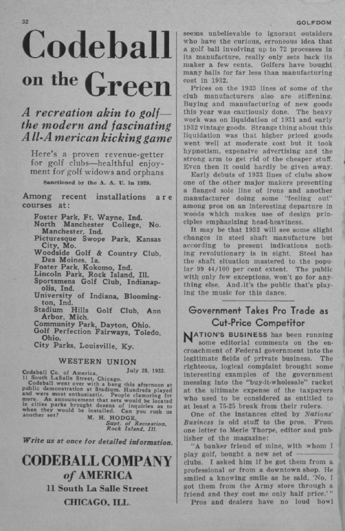#### **GOLFDOM**

# Codeball **on the Green**

## *A recreation akin to golf the modern and fascinating A11,A m eric an kicking game*

Here's a proven revenue-getter for golf clubs—healthful enjoyment for golf widows and orphans

Sanctioned by the A. A. U. in 1929.

Among recent installations ar e courses at:

**Foster Park, Ft. Wayne, Ind.** 

**North Manchester College, No. Manchester, Ind.** 

**Picturesque Swope Park, Kansas City, Mo.** 

**Woodside Golf & Country Club, Des Moines, la.** 

**Foster Park, Kokomo, Ind.** 

**Lincoln Park, Rock Island, 111.** 

**Sportsmens Golf Club, Indianapolis, Ind.** 

**University of Indiana, Bloomington, Ind.** 

Golf Club, Ann **Arbor, Mich.** 

**Community Park, Dayton, Ohio.** 

**Golf Perfection Fairways, Toledo, Ohio.** 

**City Parks, Louisville, Ky.** 

**WESTER N UNIO N** 

Due and Duble Street, Chicago,<br>
Codeball went over with a bang this afternoon at<br>
public demonstration at Stadium. Hundreds played<br>
and were most enthusiastic. People clamoring for<br>
more. An announcement that sets would be

*Supt. of Recreation, Rock Island. Ill* 

*Write us at once for detailed information.* 

# **CODEBALL COMPANY**  of **AMERICA 11 South La Salle Street CHICAGO, ILL**

seems unbelievable to ignorant outsiders who have the curious, erroneous idea that a golf ball involving up to 72 processes in its manufacture, really only sets back its maker a few cents. Golfers have bought many balls for far less than manufacturing cost in 1932.

Prices on the 1933 lines of some of the club manufacturers also are stiffening. Buying and manufacturing of new goods this year was cautiously done. The heavy work was on liquidation of 1931 and early 1932 vintage goods. Strange thing about this liquidation was that higher priced goods went well at moderate cost but it took hypnotism, expensive advertising and the strong arm to get rid of the cheaper stuff. Even then it could hardly be given away.

Early debuts of 1933 lines of clubs show one of the other major makers presenting a flanged sole line of irons and another manufacturer doing some "feeling out" among pros on an interesting departure in woods which makes use of design principles emphasizing head-heaviness.

It may be that 1933 will see some slight changes in steel shaft manufacture but according to present indications nothing revolutionary is in sight. Steel has the shaft situation mastered to the popular 99 44/100 per cent extent. The public with only few exceptions, won't go for anything else. And.it's the public that's playing the music for this dance.

#### Government Takes Pro Trade as Cut-Price Competitor

**NATION'S BUSINESS** has been running some editorial comments on the encroachment of Federal government into the legitimate fields of private business. The righteous, logical complaint brought some interesting examples of the government messing into the "buy-it-wholesale" racket at the ultimate expense of the taxpayers who used to be considered as entitled to at least a 75-25 break from their rulers.

One of the instances cited by *Nations' Business* is old stuff to the pros. From one letter to Merle Thorpe, editor and publisher of the magazine:

"A banker friend of mine, with whom I play golf, bought a new set of clubs. I asked him if he got them from a professional or from a downtown shop. He smiled a knowing smile as he said, 'No, I got them from the Army store through a friend and they cost me only half price.'"

Pros and dealers have no loud howl